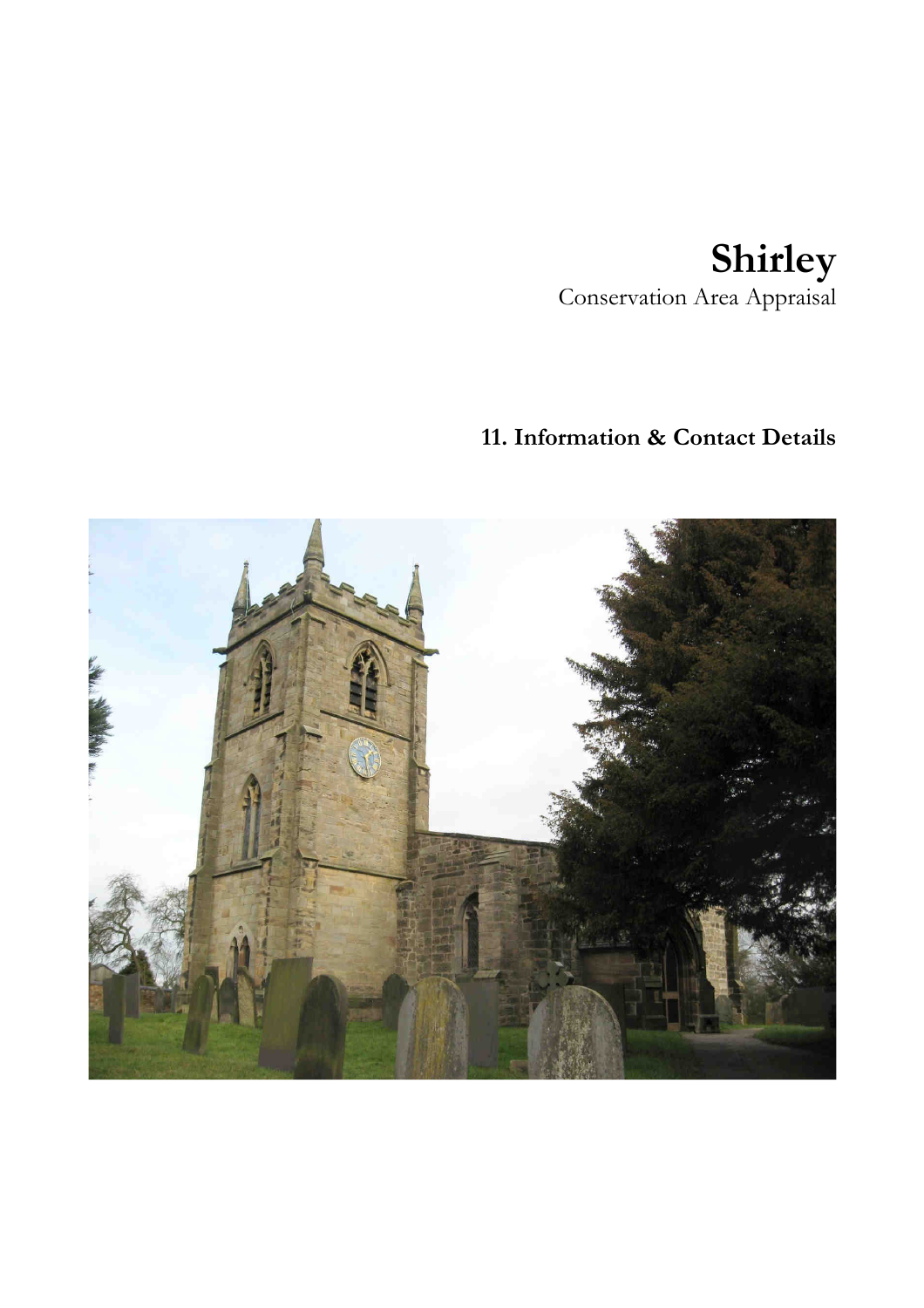# **Shirley**  Conservation Area Appraisal

# **11. Information & Contact Details**